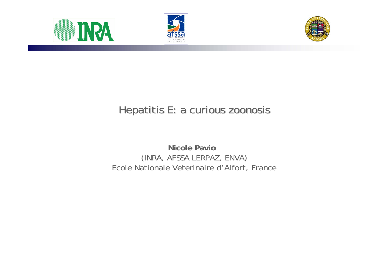





# Hepatitis E: a curious zoonosis

**Nicole Pavio** (INRA, AFSSA LERPAZ, ENVA) Ecole Nationale Veterinaire d'Alfort, France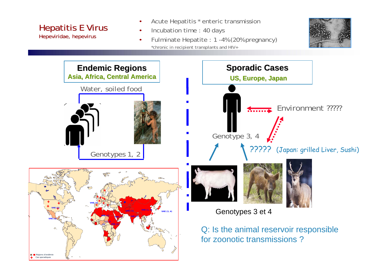Hepatitis E Virus Hepeviridae, hepevirus

- Acute Hepatitis \* enteric transmission
- Incubation time : 40 days
- Fulminate Hepatite : 1 -4% (20% pregnancy) \*chronic in recipient transplants and HIV+



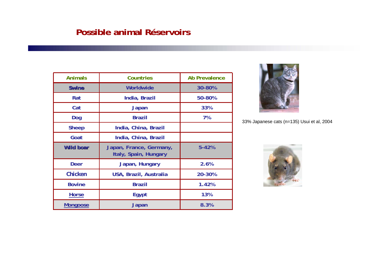#### **Possible animal Réservoirs**

| <b>Animals</b>   | <b>Countries</b>                                 | <b>Ab Prevalence</b> |
|------------------|--------------------------------------------------|----------------------|
| <b>Swine</b>     | Worldwide                                        | 30-80%               |
| Rat              | India, Brazil                                    | 50-80%               |
| Cat              | <b>Japan</b>                                     | 33%                  |
| Dog              | <b>Brazil</b>                                    | 7%                   |
| <b>Sheep</b>     | India, China, Brazil                             |                      |
| Goat             | India, China, Brazil                             |                      |
| <b>Wild boar</b> | Japan, France, Germany,<br>Italy, Spain, Hungary | $5 - 42%$            |
| <b>Deer</b>      | Japan, Hungary                                   | 2.6%                 |
| Chicken          | USA, Brazil, Australia                           | 20-30%               |
| <b>Bovine</b>    | <b>Brazil</b>                                    | 1.42%                |
| <b>Horse</b>     | Egypt                                            | 13%                  |
| <b>Mongoose</b>  | Japan                                            | 8.3%                 |



33% Japanese cats (n=135) Usui et al, 2004

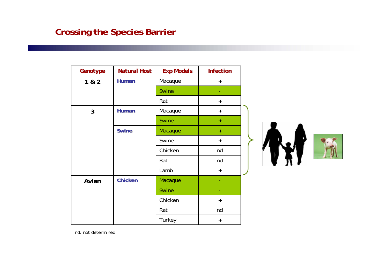# **Crossing the Species Barrier**

| Genotype     | <b>Natural Host</b> | <b>Exp Models</b> | <b>Infection</b> |  |
|--------------|---------------------|-------------------|------------------|--|
| 1 & 2        | <b>Human</b>        | Macaque           | $+$              |  |
|              |                     | <b>Swine</b>      |                  |  |
|              |                     | Rat               | $+$              |  |
| $\mathbf{3}$ | <b>Human</b>        | Macaque           | $+$              |  |
|              |                     | <b>Swine</b>      | $\ddot{}$        |  |
|              | <b>Swine</b>        | Macaque           | $\pm$            |  |
|              |                     | Swine             | $+$              |  |
|              |                     | Chicken           | nd               |  |
|              |                     | Rat               | nd               |  |
|              |                     | Lamb              | $+$              |  |
| Avian        | <b>Chicken</b>      | Macaque           |                  |  |
|              |                     | <b>Swine</b>      |                  |  |
|              |                     | Chicken           | $\ddot{}$        |  |
|              |                     | Rat               | nd               |  |
|              |                     | Turkey            | $\ddot{}$        |  |

nd: not determined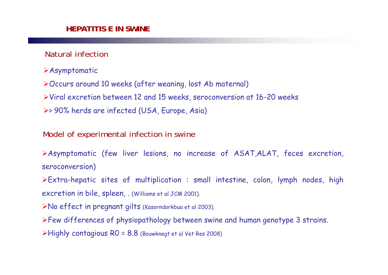### Natural infection

- Asymptomatic
- Occurs around 10 weeks (after weaning, lost Ab maternal)
- Viral excretion between 12 and 15 weeks, seroconversion at 16-20 weeks
- > 90% herds are infected (USA, Europe, Asia)

### Model of experimental infection in swine

Asymptomatic (few liver lesions, no increase of ASAT,ALAT, feces excretion, seroconversion)

Extra-hepatic sites of multiplication : small intestine, colon, lymph nodes, high excretion in bile, spleen, . (Williams et al JCM 2001).

- No effect in pregnant gilts (Kasorndorkbua et al 2003).
- Few differences of physiopathology between swine and human genotype 3 strains. Highly contagious R0 = 8.8 (Bouwknegt et al Vet Res 2008)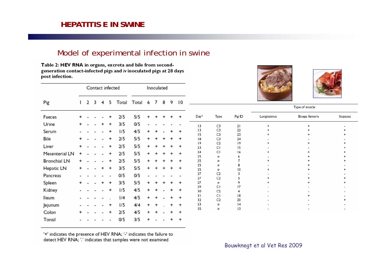#### **HEPATITIS E IN SWINE**

#### Model of experimental infection in swine

Table 2: HEV RNA in organs, excreta and bile from secondgeneration contact-infected pigs and iv inoculated pigs at 28 days post infection.

|                                  |   |       |   | Contact infected |     | Inoculated |    |  |  |   |           |          |                                  |                |             |                |           |
|----------------------------------|---|-------|---|------------------|-----|------------|----|--|--|---|-----------|----------|----------------------------------|----------------|-------------|----------------|-----------|
| Pig<br>3<br>2<br>Total<br>4<br>5 |   | Total | 6 | 7                | 8   | 9          | 10 |  |  |   |           |          |                                  |                |             |                |           |
|                                  |   |       |   |                  |     |            |    |  |  |   |           |          |                                  | Type of muscle |             |                |           |
| Faeces                           | + |       |   |                  | 2/5 | 5/5        |    |  |  |   | $\ddot{}$ | $Day*$   | Type                             | Pig ID         | Longissimus | Biceps femoris | lliopsoas |
| Urine                            | + |       |   |                  | 3/5 | 0/5        |    |  |  |   |           | 3        | C3                               | 21             |             |                |           |
| Serum                            |   |       |   |                  | 1/5 | 4/5        |    |  |  |   |           | 3        | C <sub>3</sub>                   | 22             |             |                |           |
|                                  |   |       |   |                  | 2/5 |            |    |  |  |   |           | 15       | C <sub>3</sub>                   | 23             |             |                |           |
| Bile                             | + |       |   |                  |     | 5/5        |    |  |  |   | ÷         | 18<br> 9 | C <sub>3</sub><br>C <sub>2</sub> | 24<br>19       |             |                |           |
| Liver                            |   |       |   |                  | 2/5 | 5/5        |    |  |  |   |           | 23       | CI                               | 15             |             |                |           |
| Mesenterial LN                   |   |       |   |                  | 2/5 | 5/5        |    |  |  |   |           | 24       | CI                               | 16             |             |                |           |
|                                  |   |       |   |                  |     |            |    |  |  |   |           | 25       | iv                               |                |             |                |           |
| Bronchial LN                     |   |       |   |                  | 2/5 | 5/5        |    |  |  |   |           | 25       | iv                               |                |             |                |           |
| Hepatic LN                       | + |       |   |                  | 3/5 | 5/5        |    |  |  |   |           | 25<br>25 | iv                               | 8<br>10        |             |                |           |
|                                  |   |       |   |                  |     |            |    |  |  |   |           | 27       | C <sub>2</sub>                   |                |             |                |           |
| Pancreas                         |   |       |   |                  | 0/5 | 0/5        |    |  |  |   |           | 27       | C2                               |                |             |                |           |
| Spleen                           | + |       |   |                  | 3/5 | 5/5        |    |  |  |   |           | 27       | iv                               | 9              |             |                |           |
| Kidney                           |   |       |   |                  | 1/5 | 4/5        |    |  |  |   |           | 29       | CI                               | 17             |             |                |           |
|                                  |   |       |   |                  |     |            |    |  |  |   |           | 30<br>31 | C <sub>2</sub><br>CI             | 18             |             |                |           |
| lleum                            |   |       |   |                  | 1/4 | 4/5        |    |  |  |   |           | 32       | C <sub>2</sub>                   | 20             |             |                |           |
| Jejunum                          |   |       |   |                  | 1/5 | 4/4        |    |  |  | ÷ | +         | 53       | iv                               | 14             |             |                |           |
|                                  |   |       |   |                  |     |            |    |  |  |   |           | 55       | iv                               | 13             |             |                |           |
| Colon                            |   |       |   |                  | 2/5 | 4/5        |    |  |  |   |           |          |                                  |                |             |                |           |
| Tonsil                           |   |       |   |                  | O/5 | 3/5        |    |  |  |   | ÷         |          |                                  |                |             |                |           |

'+' indicates the presence of HEV RNA; '-' indicates the failure to detect HEV RNA; '.' indicates that samples were not examined

Bouwknegt et al Vet Res 2009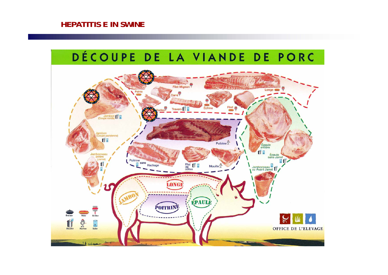#### **HEPATITIS E IN SWINE**

#### DÉCOUPE DE LA VIANDE DE PORC Filet Mignon opric Carré ades Travers Coupe ronde) lambon<br>(Coupe parisienne) 作品 Poitrine<sup>4</sup> Épaule **ff** 0 Jambonneau Épaule<br>sans Jarret (Jarret) **art** Poitrine sans Plat **f a** Hachage Jambonneau Mouille<sup>8</sup> **LONG** EPAULE **POITRINE** Griller Braiser Róti Ü ġ  $\frac{54}{3}$ **Bouillir** Hacher Saler **OFFICE DE L'ELEVAGE** ه ديد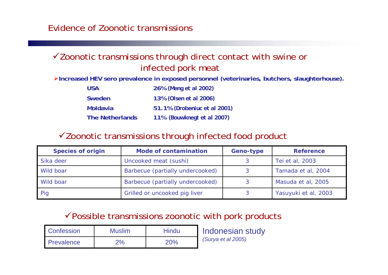### $\checkmark$  Zoonotic transmissions through direct contact with swine or infected pork meat

¾**Increased HEV sero prevalence in exposed personnel (veterinaries, butchers, slaughterhouse).**

| <b>USA</b>             | 26% (Meng et al 2002)        |
|------------------------|------------------------------|
| <b>Sweden</b>          | 13% (Olsen et al 2006)       |
| <b>Moldavia</b>        | 51.1% (Drobeniuc et al 2001) |
| <b>The Netherlands</b> | 11% (Bouwknegt et al 2007)   |

#### $\checkmark$  Zoonotic transmissions through infected food product

| <b>Species of origin</b> | <b>Mode of contamination</b>     | Geno-type | <b>Reference</b>     |
|--------------------------|----------------------------------|-----------|----------------------|
| Sika deer                | Uncooked meat (sushi)            |           | Tei et al, 2003      |
| Wild boar                | Barbecue (partially undercooked) |           | Tamada et al, 2004   |
| Wild boar                | Barbecue (partially undercooked) |           | Masuda et al, 2005   |
| Pig                      | Grilled or uncooked pig liver    |           | Yasuyuki et al, 2003 |

## $\checkmark$  Possible transmissions zoonotic with pork products

| <b>Confession</b>   | <b>Muslim</b> | Hindu |  |
|---------------------|---------------|-------|--|
| <b>I</b> Prevalence | 2%            | 20%   |  |

Indonesian study *(Surya et al 2005)*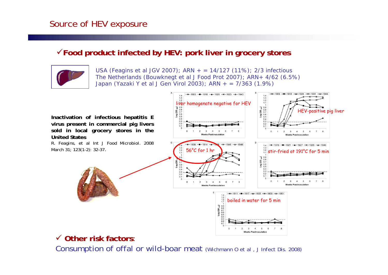## Source of HEV exposure

#### <sup>9</sup>**Food product infected by HEV: pork liver in grocery stores**



USA (Feagins *et al* JGV 2007); ARN + = 14/127 (11%); 2/3 infectious The Netherlands (Bouwknegt *et al* J Food Prot 2007); ARN+ 4/62 (6.5%) Japan (Yazaki Y *et al* J Gen Virol 2003); ARN + = 7/363 (1.9%)



# 9 **Other risk factors**:

Consumption of offal or wild-boar meat *(Wichmann O et al , J Infect Dis. 2008)*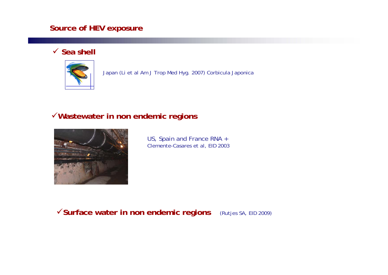#### **Source of HEV exposure**

#### 9 **Sea shell**



Japan (Li et al Am J Trop Med Hyg. 2007) Corbicula Japonica

#### <sup>9</sup>**Wastewater in non endemic regions**



US, Spain and France RNA + Clemente-Casares et al, EID 2003

<sup>9</sup>**Surface water in non endemic regions** (Rutjes SA, EID 2009)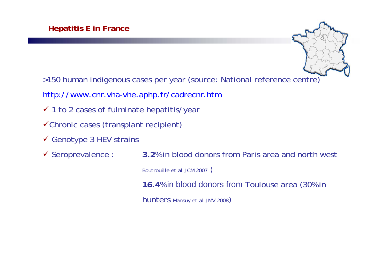

- >150 human indigenous cases per year (source: National reference centre)
- http://www.cnr.vha-vhe.aphp.fr/cadrecnr.htm
- $\checkmark$  1 to 2 cases of fulminate hepatitis/year
- $\checkmark$ Chronic cases (transplant recipient)
- $\checkmark$  Genotype 3 HEV strains
- $\checkmark$  Seroprevalence : **3.2% in blood donors from Paris area and north west** Boutrouille *et al* JCM 2007 ) **16.4**% in blood donors from Toulouse area (30% in hunters Mansuy *et al* JMV 2008)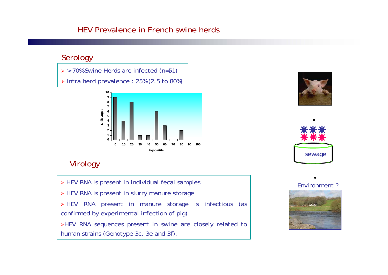#### HEV Prevalence in French swine herds

#### Serology

- ¾ > 70% Swine Herds are infected (n=51)
- ¾ Intra herd prevalence : 25% (2.5 to 80%)



### Virology

¾ HEV RNA is present in individual fecal samples ¾ HEV RNA is present in slurry manure storage ¾ HEV RNA present in manure storage is infectious (as confirmed by experimental infection of pig) <sup>¾</sup>HEV RNA sequences present in swine are closely related to

human strains (Genotype 3c, 3e and 3f).

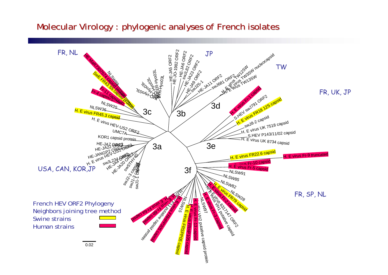### Molecular Virology : phylogenic analyses of French isolates

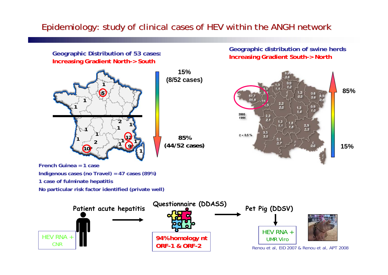# Epidemiology: study of Epidemiology: study of clinical cases of HEV within the ANGH network clinical cases of HEV within the ANGH network

**Geographic Distribution of 53 cases: Increasing Gradient North-> South** 

**Geographic distribution of swine herds Increasing Gradient South-> North**



**French Guinea = 1 caseIndigenous cases (no Travel) = 47 cases (89%) 1 case of fulminate hepatitis No particular risk factor identified (private well)**

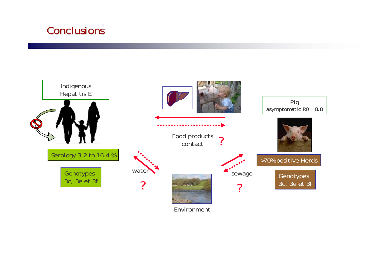# Conclusions